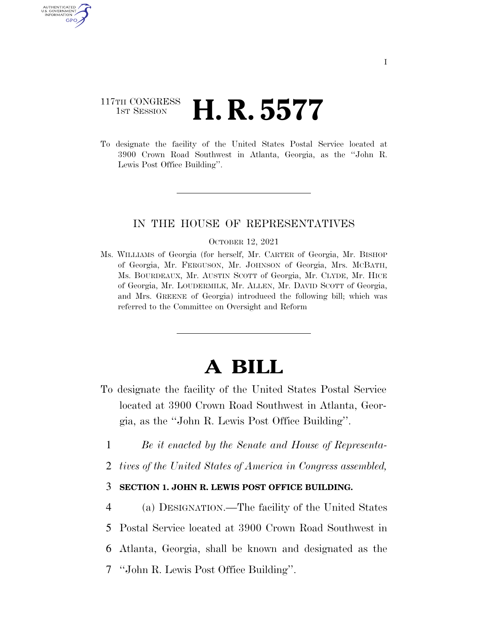## 117TH CONGRESS <sup>TH CONGRESS</sup>  $H$ . R. 5577

**AUTHENTICAT** U.S. GOVERNMENT GPO

> To designate the facility of the United States Postal Service located at 3900 Crown Road Southwest in Atlanta, Georgia, as the ''John R. Lewis Post Office Building''.

## IN THE HOUSE OF REPRESENTATIVES

#### OCTOBER 12, 2021

Ms. WILLIAMS of Georgia (for herself, Mr. CARTER of Georgia, Mr. BISHOP of Georgia, Mr. FERGUSON, Mr. JOHNSON of Georgia, Mrs. MCBATH, Ms. BOURDEAUX, Mr. AUSTIN SCOTT of Georgia, Mr. CLYDE, Mr. HICE of Georgia, Mr. LOUDERMILK, Mr. ALLEN, Mr. DAVID SCOTT of Georgia, and Mrs. GREENE of Georgia) introduced the following bill; which was referred to the Committee on Oversight and Reform

# **A BILL**

- To designate the facility of the United States Postal Service located at 3900 Crown Road Southwest in Atlanta, Georgia, as the ''John R. Lewis Post Office Building''.
	- 1 *Be it enacted by the Senate and House of Representa-*
- 2 *tives of the United States of America in Congress assembled,*

### 3 **SECTION 1. JOHN R. LEWIS POST OFFICE BUILDING.**

 (a) DESIGNATION.—The facility of the United States Postal Service located at 3900 Crown Road Southwest in Atlanta, Georgia, shall be known and designated as the ''John R. Lewis Post Office Building''.